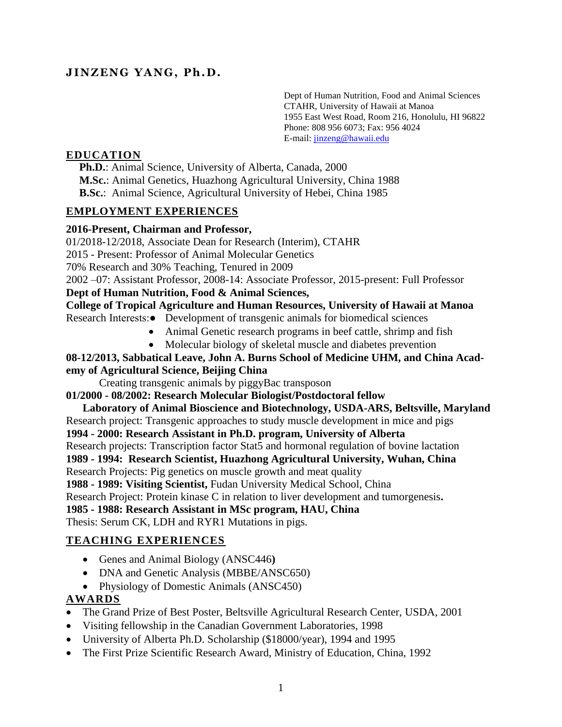## **JI NZ ENG YA NG, Ph . D.**

Dept of Human Nutrition, Food and Animal Sciences CTAHR, University of Hawaii at Manoa 1955 East West Road, Room 216, Honolulu, HI 96822 Phone: 808 956 6073; Fax: 956 4024 E-mail: [jinzeng@hawaii.edu](mailto:jinzeng@hawaii.edu)

## **EDUCATION**

**Ph.D.**: Animal Science, University of Alberta, Canada, 2000 **M.Sc.**: Animal Genetics, Huazhong Agricultural University, China 1988 **B.Sc.**: Animal Science, Agricultural University of Hebei, China 1985

#### **EMPLOYMENT EXPERIENCES**

#### **2016-Present, Chairman and Professor,**

01/2018-12/2018, Associate Dean for Research (Interim), CTAHR

2015 - Present: Professor of Animal Molecular Genetics

70% Research and 30% Teaching, Tenured in 2009

2002 –07: Assistant Professor, 2008-14: Associate Professor, 2015-present: Full Professor

### **Dept of Human Nutrition, Food & Animal Sciences,**

### **College of Tropical Agriculture and Human Resources, University of Hawaii at Manoa**

Research Interests:● Development of transgenic animals for biomedical sciences

- Animal Genetic research programs in beef cattle, shrimp and fish
- Molecular biology of skeletal muscle and diabetes prevention

## **08-12/2013, Sabbatical Leave, John A. Burns School of Medicine UHM, and China Academy of Agricultural Science, Beijing China**

Creating transgenic animals by piggyBac transposon

**01/2000 - 08/2002: Research Molecular Biologist/Postdoctoral fellow**

 **Laboratory of Animal Bioscience and Biotechnology, USDA-ARS, Beltsville, Maryland** Research project: Transgenic approaches to study muscle development in mice and pigs **1994 - 2000: Research Assistant in Ph.D. program, University of Alberta** Research projects: Transcription factor Stat5 and hormonal regulation of bovine lactation **1989 - 1994: Research Scientist, Huazhong Agricultural University, Wuhan, China** Research Projects: Pig genetics on muscle growth and meat quality **1988 - 1989: Visiting Scientist,** Fudan University Medical School, China Research Project: Protein kinase C in relation to liver development and tumorgenesis**. 1985 - 1988: Research Assistant in MSc program, HAU, China** Thesis: Serum CK, LDH and RYR1 Mutations in pigs.

## **TEACHING EXPERIENCES**

- Genes and Animal Biology (ANSC446**)**
- DNA and Genetic Analysis (MBBE/ANSC650)
- Physiology of Domestic Animals (ANSC450)

## **AWARDS**

- The Grand Prize of Best Poster, Beltsville Agricultural Research Center, USDA, 2001
- Visiting fellowship in the Canadian Government Laboratories, 1998
- University of Alberta Ph.D. Scholarship (\$18000/year), 1994 and 1995
- The First Prize Scientific Research Award, Ministry of Education, China, 1992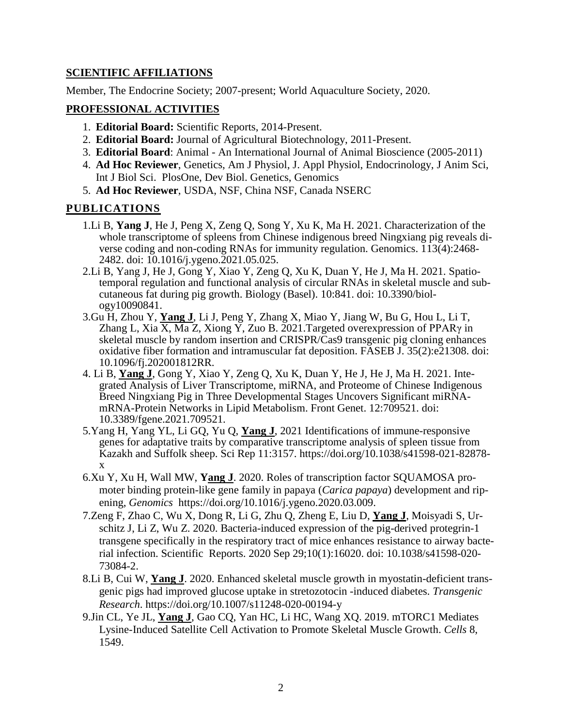## **SCIENTIFIC AFFILIATIONS**

Member, The Endocrine Society; 2007-present; World Aquaculture Society, 2020.

#### **PROFESSIONAL ACTIVITIES**

- 1. **Editorial Board:** Scientific Reports, 2014-Present.
- 2. **Editorial Board:** Journal of Agricultural Biotechnology, 2011-Present.
- 3. **Editorial Board**: Animal An International Journal of Animal Bioscience (2005-2011)
- 4. **Ad Hoc Reviewer**, Genetics, Am J Physiol, J. Appl Physiol, Endocrinology, J Anim Sci, Int J Biol Sci. PlosOne, Dev Biol. Genetics, Genomics
- 5. **Ad Hoc Reviewer**, USDA, NSF, China NSF, Canada NSERC

#### **PUBLICATIONS**

- 1.Li B, **Yang J**, He J, Peng X, Zeng Q, Song Y, Xu K, Ma H. 2021. Characterization of the whole transcriptome of spleens from Chinese indigenous breed Ningxiang pig reveals diverse coding and non-coding RNAs for immunity regulation. Genomics. 113(4):2468- 2482. doi: 10.1016/j.ygeno.2021.05.025.
- 2.Li B, Yang J, He J, Gong Y, Xiao Y, Zeng Q, Xu K, Duan Y, He J, Ma H. 2021. Spatiotemporal regulation and functional analysis of circular RNAs in skeletal muscle and subcutaneous fat during pig growth. Biology (Basel). 10:841. doi: 10.3390/biology10090841.
- 3.Gu H, Zhou Y, **Yang J**, Li J, Peng Y, Zhang X, Miao Y, Jiang W, Bu G, Hou L, Li T, Zhang L, Xia  $\overline{X}$ , Ma Z, Xiong Y, Zuo B. 2021. Targeted overexpression of PPAR $\gamma$  in skeletal muscle by random insertion and CRISPR/Cas9 transgenic pig cloning enhances oxidative fiber formation and intramuscular fat deposition. FASEB J. 35(2):e21308. doi: 10.1096/fj.202001812RR.
- 4. Li B, **Yang J**, Gong Y, Xiao Y, Zeng Q, Xu K, Duan Y, He J, He J, Ma H. 2021. Integrated Analysis of Liver Transcriptome, miRNA, and Proteome of Chinese Indigenous Breed Ningxiang Pig in Three Developmental Stages Uncovers Significant miRNAmRNA-Protein Networks in Lipid Metabolism. Front Genet. 12:709521. doi: 10.3389/fgene.2021.709521.
- 5.Yang H, Yang YL, Li GQ, Yu Q, **Yang J**, 2021 Identifications of immune-responsive genes for adaptative traits by comparative transcriptome analysis of spleen tissue from Kazakh and Suffolk sheep. Sci Rep 11:3157. https://doi.org/10.1038/s41598-021-82878 x
- 6.Xu Y, Xu H, Wall MW, **Yang J**. 2020. Roles of transcription factor SQUAMOSA promoter binding protein-like gene family in papaya (*Carica papaya*) development and ripening, *Genomics* https://doi.org/10.1016/j.ygeno.2020.03.009.
- 7.Zeng F, Zhao C, Wu X, Dong R, Li G, Zhu Q, Zheng E, Liu D, **Yang J**, Moisyadi S, Urschitz J, Li Z, Wu Z. 2020. Bacteria-induced expression of the pig-derived protegrin-1 transgene specifically in the respiratory tract of mice enhances resistance to airway bacterial infection. Scientific Reports. 2020 Sep 29;10(1):16020. doi: 10.1038/s41598-020- 73084-2.
- 8.Li B, Cui W, **Yang J**. 2020. Enhanced skeletal muscle growth in myostatin-deficient transgenic pigs had improved glucose uptake in stretozotocin -induced diabetes. *Transgenic Research*. https://doi.org/10.1007/s11248-020-00194-y
- 9.Jin CL, Ye JL, **Yang J**, Gao CQ, Yan HC, Li HC, Wang XQ. 2019. mTORC1 Mediates Lysine-Induced Satellite Cell Activation to Promote Skeletal Muscle Growth. *Cells* 8, 1549.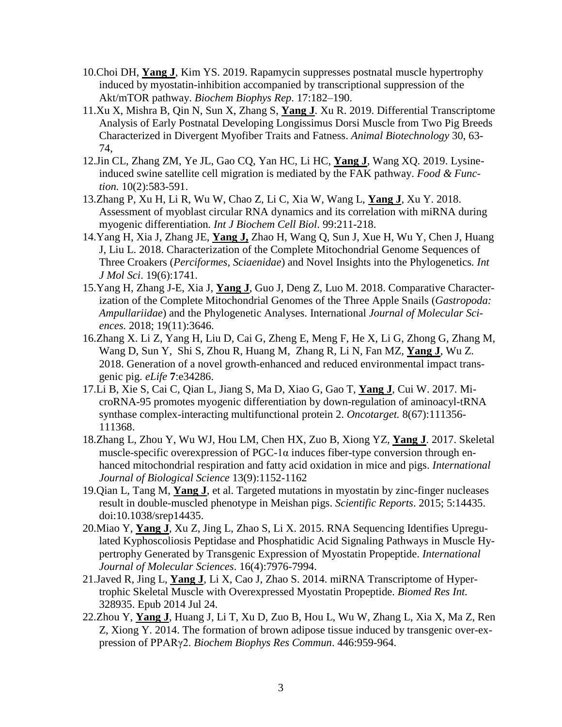- 10.Choi DH, **Yang J**, Kim YS. 2019. Rapamycin suppresses postnatal muscle hypertrophy induced by myostatin-inhibition accompanied by transcriptional suppression of the Akt/mTOR pathway. *Biochem Biophys Rep*. 17:182–190.
- 11.Xu X, Mishra B, Qin N, Sun X, Zhang S, **Yang J**. Xu R. 2019. Differential Transcriptome Analysis of Early Postnatal Developing Longissimus Dorsi Muscle from Two Pig Breeds Characterized in Divergent Myofiber Traits and Fatness. *Animal Biotechnology* 30, 63- 74,
- 12.Jin CL, Zhang ZM, Ye JL, Gao CQ, Yan HC, Li HC, **Yang J**, Wang XQ. 2019. Lysineinduced swine satellite cell migration is mediated by the FAK pathway. *Food & Function.* 10(2):583-591.
- 13.Zhang P, Xu H, Li R, Wu W, Chao Z, Li C, Xia W, Wang L, **Yang J**, Xu Y. 2018. Assessment of myoblast circular RNA dynamics and its correlation with miRNA during myogenic differentiation*. Int J Biochem Cell Biol*. 99:211-218.
- 14.Yang H, Xia J, Zhang JE, **Yang J,** Zhao H, Wang Q, Sun J, Xue H, Wu Y, Chen J, Huang J, Liu L. 2018. Characterization of the Complete Mitochondrial Genome Sequences of Three Croakers (*Perciformes, Sciaenidae*) and Novel Insights into the Phylogenetics*. Int J Mol Sci*. 19(6):1741.
- 15.Yang H, Zhang J-E, Xia J, **Yang J**, Guo J, Deng Z, Luo M. 2018. Comparative Characterization of the Complete Mitochondrial Genomes of the Three Apple Snails (*Gastropoda: Ampullariidae*) and the Phylogenetic Analyses. International *Journal of Molecular Sciences.* 2018; 19(11):3646.
- 16.Zhang X. Li Z, Yang H, Liu D, Cai G, Zheng E, Meng F, He X, Li G, Zhong G, Zhang M, Wang D, Sun Y, Shi S, Zhou R, Huang M, Zhang R, Li N, Fan MZ, **Yang J**, Wu Z. 2018. Generation of a novel growth-enhanced and reduced environmental impact transgenic pig. *eLife* **7**:e34286.
- 17.Li B, Xie S, Cai C, Qian L, Jiang S, Ma D, Xiao G, Gao T, **Yang J**, Cui W. 2017. MicroRNA-95 promotes myogenic differentiation by down-regulation of aminoacyl-tRNA synthase complex-interacting multifunctional protein 2. *Oncotarget.* 8(67):111356- 111368.
- 18.Zhang L, Zhou Y, Wu WJ, Hou LM, Chen HX, Zuo B, Xiong YZ, **Yang J**. 2017. Skeletal muscle-specific overexpression of PGC-1 $\alpha$  induces fiber-type conversion through enhanced mitochondrial respiration and fatty acid oxidation in mice and pigs. *International Journal of Biological Science* 13(9):1152-1162
- 19.Qian L, Tang M, **Yang J**, et al. Targeted mutations in myostatin by zinc-finger nucleases result in double-muscled phenotype in Meishan pigs. *Scientific Reports*. 2015; 5:14435. doi:10.1038/srep14435.
- 20.Miao Y, **Yang J**, Xu Z, Jing L, Zhao S, Li X. 2015. RNA Sequencing Identifies Upregulated Kyphoscoliosis Peptidase and Phosphatidic Acid Signaling Pathways in Muscle Hypertrophy Generated by Transgenic Expression of Myostatin Propeptide. *International Journal of Molecular Sciences*. 16(4):7976-7994.
- 21.Javed R, Jing L, **Yang J**, Li X, Cao J, Zhao S. 2014. miRNA Transcriptome of Hypertrophic Skeletal Muscle with Overexpressed Myostatin Propeptide. *Biomed Res Int.* 328935. Epub 2014 Jul 24.
- 22.Zhou Y, **Yang J**, Huang J, Li T, Xu D, Zuo B, Hou L, Wu W, Zhang L, Xia X, Ma Z, Ren Z, Xiong Y. 2014. The formation of brown adipose tissue induced by transgenic over-expression of PPARγ2. *Biochem Biophys Res Commun*. 446:959-964.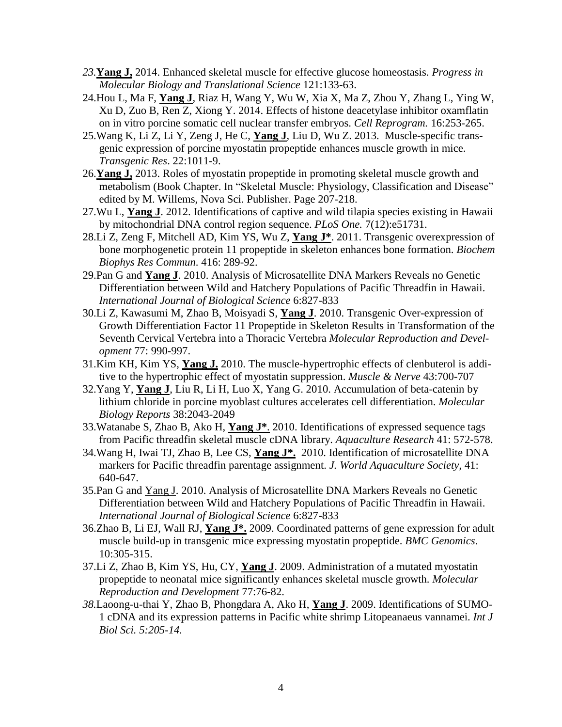- *23.***Yang J,** 2014. Enhanced skeletal muscle for effective glucose homeostasis. *Progress in Molecular Biology and Translational Science* 121:133-63.
- 24.Hou L, Ma F, **Yang J**, Riaz H, Wang Y, Wu W, Xia X, Ma Z, Zhou Y, Zhang L, Ying W, Xu D, Zuo B, Ren Z, Xiong Y. 2014. Effects of histone deacetylase inhibitor oxamflatin on in vitro porcine somatic cell nuclear transfer embryos. *Cell Reprogram.* 16:253-265.
- 25.Wang K, Li Z, Li Y, Zeng J, He C, **Yang J**, Liu D, Wu Z. 2013. Muscle-specific transgenic expression of porcine myostatin propeptide enhances muscle growth in mice. *Transgenic Res*. 22:1011-9.
- 26.**Yang J,** 2013. Roles of myostatin propeptide in promoting skeletal muscle growth and metabolism (Book Chapter. In "Skeletal Muscle: Physiology, Classification and Disease" edited by M. Willems, Nova Sci. Publisher. Page 207-218.
- 27.Wu L, **Yang J**. 2012. Identifications of captive and wild tilapia species existing in Hawaii by mitochondrial DNA control region sequence. *PLoS One.* 7(12):e51731.
- 28.Li Z, Zeng F, Mitchell AD, Kim YS, Wu Z, **Yang J\***. 2011. Transgenic overexpression of bone morphogenetic protein 11 propeptide in skeleton enhances bone formation. *Biochem Biophys Res Commun*. 416: 289-92.
- 29.Pan G and **Yang J**. 2010. Analysis of Microsatellite DNA Markers Reveals no Genetic Differentiation between Wild and Hatchery Populations of Pacific Threadfin in Hawaii. *International Journal of Biological Science* 6:827-833
- 30.Li Z, Kawasumi M, Zhao B, Moisyadi S, **Yang J**. 2010. Transgenic Over-expression of Growth Differentiation Factor 11 Propeptide in Skeleton Results in Transformation of the Seventh Cervical Vertebra into a Thoracic Vertebra *Molecular Reproduction and Development* 77: 990-997.
- 31.Kim KH, Kim YS, **Yang J.** 2010. The muscle-hypertrophic effects of clenbuterol is additive to the hypertrophic effect of myostatin suppression. *Muscle & Nerve* 43:700-707
- 32.Yang Y, **Yang J**, Liu R, Li H, Luo X, Yang G. 2010. Accumulation of beta-catenin by lithium chloride in porcine myoblast cultures accelerates cell differentiation. *Molecular Biology Reports* 38:2043-2049
- 33.Watanabe S, Zhao B, Ako H, **Yang J\***. 2010. Identifications of expressed sequence tags from Pacific threadfin skeletal muscle cDNA library. *Aquaculture Research* 41: 572-578.
- 34.Wang H, Iwai TJ, Zhao B, Lee CS, **Yang J\*.** 2010. Identification of microsatellite DNA markers for Pacific threadfin parentage assignment. *J. World Aquaculture Society,* 41: 640-647.
- 35.Pan G and Yang J. 2010. Analysis of Microsatellite DNA Markers Reveals no Genetic Differentiation between Wild and Hatchery Populations of Pacific Threadfin in Hawaii. *International Journal of Biological Science* 6:827-833
- 36.Zhao B, Li EJ, Wall RJ, **Yang J\*.** 2009. Coordinated patterns of gene expression for adult muscle build-up in transgenic mice expressing myostatin propeptide. *BMC Genomics*. 10:305-315.
- 37.Li Z, Zhao B, Kim YS, Hu, CY, **Yang J**. 2009. Administration of a mutated myostatin propeptide to neonatal mice significantly enhances skeletal muscle growth. *Molecular Reproduction and Development* 77:76-82.
- *38.*Laoong-u-thai Y, Zhao B, Phongdara A, Ako H, **Yang J**. 2009. Identifications of SUMO-1 cDNA and its expression patterns in Pacific white shrimp Litopeanaeus vannamei. *Int J Biol Sci. 5:205-14.*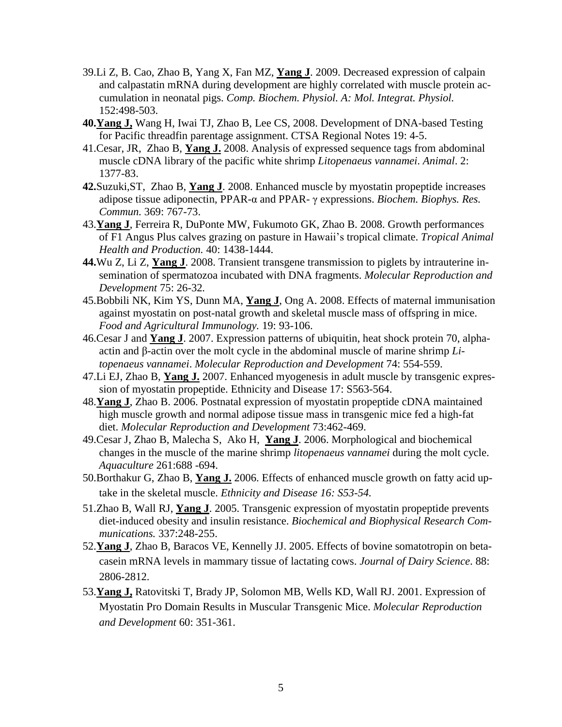- 39.Li Z, B. Cao, Zhao B, Yang X, Fan MZ, **Yang J**. 2009. Decreased expression of calpain and calpastatin mRNA during development are highly correlated with muscle protein accumulation in neonatal pigs. *Comp. Biochem. Physiol. A: Mol. Integrat. Physiol.* 152:498-503.
- **40.Yang J,** Wang H, Iwai TJ, Zhao B, Lee CS, 2008. Development of DNA-based Testing for Pacific threadfin parentage assignment. CTSA Regional Notes 19: 4-5.
- 41.Cesar, JR, Zhao B, **Yang J.** 2008. Analysis of expressed sequence tags from abdominal muscle cDNA library of the pacific white shrimp *Litopenaeus vannamei*. *Animal*. 2: 1377-83.
- **42.**Suzuki,ST, Zhao B, **Yang J**. 2008. Enhanced muscle by myostatin propeptide increases adipose tissue adiponectin, PPAR-α and PPAR- γ expressions. *Biochem. Biophys. Res. Commun.* 369: 767-73.
- 43.**Yang J**, Ferreira R, DuPonte MW, Fukumoto GK, Zhao B. 2008. Growth performances of F1 Angus Plus calves grazing on pasture in Hawaii's tropical climate. *Tropical Animal Health and Production.* 40: 1438-1444.
- **44.**Wu Z, Li Z, **Yang J**. 2008. Transient transgene transmission to piglets by intrauterine insemination of spermatozoa incubated with DNA fragments. *Molecular Reproduction and Development* 75: 26-32*.*
- 45.Bobbili NK, Kim YS, Dunn MA, **Yang J**, Ong A. 2008. Effects of maternal immunisation against myostatin on post-natal growth and skeletal muscle mass of offspring in mice. *Food and Agricultural Immunology.* 19: 93-106.
- 46.Cesar J and **Yang J**. 2007. Expression patterns of ubiquitin, heat shock protein 70, alphaactin and β-actin over the molt cycle in the abdominal muscle of marine shrimp *Litopenaeus vannamei*. *Molecular Reproduction and Development* 74: 554-559.
- 47.Li EJ, Zhao B, **Yang J.** 2007. Enhanced myogenesis in adult muscle by transgenic expression of myostatin propeptide. Ethnicity and Disease 17: S563-564.
- 48.**Yang J**, Zhao B. 2006. Postnatal expression of myostatin propeptide cDNA maintained high muscle growth and normal adipose tissue mass in transgenic mice fed a high-fat diet. *Molecular Reproduction and Development* 73:462-469.
- 49.Cesar J, Zhao B, Malecha S, Ako H, **Yang J**. 2006. Morphological and biochemical changes in the muscle of the marine shrimp *litopenaeus vannamei* during the molt cycle. *Aquaculture* 261:688 -694.
- 50.Borthakur G, Zhao B, **Yang J.** 2006. Effects of enhanced muscle growth on fatty acid uptake in the skeletal muscle. *Ethnicity and Disease 16: S53-54.*
- 51.Zhao B, Wall RJ, **Yang J**. 2005. Transgenic expression of myostatin propeptide prevents diet-induced obesity and insulin resistance. *Biochemical and Biophysical Research Communications.* 337:248-255.
- 52.**Yang J**, Zhao B, Baracos VE, Kennelly JJ. 2005. Effects of bovine somatotropin on betacasein mRNA levels in mammary tissue of lactating cows. *Journal of Dairy Science*. 88: 2806-2812.
- 53.**Yang J,** Ratovitski T, Brady JP, Solomon MB, Wells KD, Wall RJ. 2001. Expression of Myostatin Pro Domain Results in Muscular Transgenic Mice. *Molecular Reproduction and Development* 60: 351-361.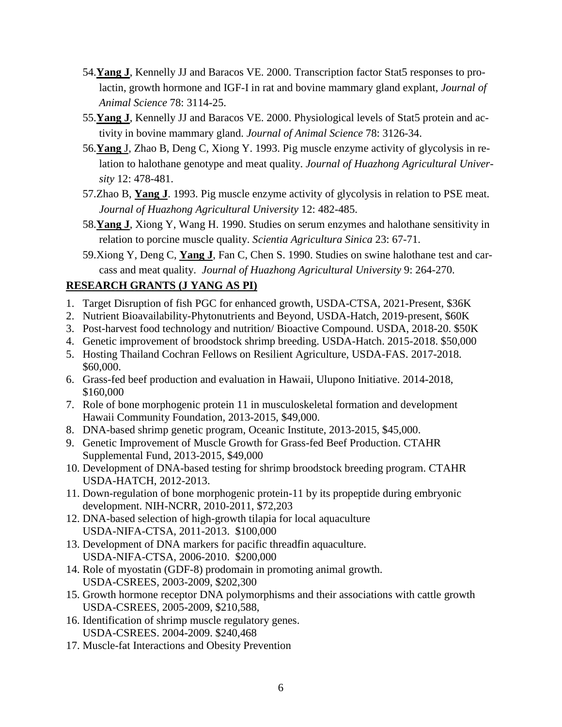- 54.**Yang J**, Kennelly JJ and Baracos VE. 2000. Transcription factor Stat5 responses to prolactin, growth hormone and IGF-I in rat and bovine mammary gland explant, *Journal of Animal Science* 78: 3114-25.
- 55.**Yang J**, Kennelly JJ and Baracos VE. 2000. Physiological levels of Stat5 protein and activity in bovine mammary gland. *Journal of Animal Science* 78: 3126-34.
- 56.**Yang** J, Zhao B, Deng C, Xiong Y. 1993. Pig muscle enzyme activity of glycolysis in relation to halothane genotype and meat quality. *Journal of Huazhong Agricultural University* 12: 478-481.
- 57.Zhao B, **Yang J**. 1993. Pig muscle enzyme activity of glycolysis in relation to PSE meat. *Journal of Huazhong Agricultural University* 12: 482-485.
- 58.**Yang J**, Xiong Y, Wang H. 1990. Studies on serum enzymes and halothane sensitivity in relation to porcine muscle quality. *Scientia Agricultura Sinica* 23: 67-71.
- 59.Xiong Y, Deng C, **Yang J**, Fan C, Chen S. 1990. Studies on swine halothane test and carcass and meat quality. *Journal of Huazhong Agricultural University* 9: 264-270.

## **RESEARCH GRANTS (J YANG AS PI)**

- 1. Target Disruption of fish PGC for enhanced growth, USDA-CTSA, 2021-Present, \$36K
- 2. Nutrient Bioavailability-Phytonutrients and Beyond, USDA-Hatch, 2019-present, \$60K
- 3. Post-harvest food technology and nutrition/ Bioactive Compound. USDA, 2018-20. \$50K
- 4. Genetic improvement of broodstock shrimp breeding. USDA-Hatch. 2015-2018. \$50,000
- 5. Hosting Thailand Cochran Fellows on Resilient Agriculture, USDA-FAS. 2017-2018. \$60,000.
- 6. Grass-fed beef production and evaluation in Hawaii, Ulupono Initiative. 2014-2018, \$160,000
- 7. Role of bone morphogenic protein 11 in musculoskeletal formation and development Hawaii Community Foundation, 2013-2015, \$49,000.
- 8. DNA-based shrimp genetic program, Oceanic Institute, 2013-2015, \$45,000.
- 9. Genetic Improvement of Muscle Growth for Grass-fed Beef Production. CTAHR Supplemental Fund, 2013-2015, \$49,000
- 10. Development of DNA-based testing for shrimp broodstock breeding program. CTAHR USDA-HATCH, 2012-2013.
- 11. Down-regulation of bone morphogenic protein-11 by its propeptide during embryonic development. NIH-NCRR, 2010-2011, \$72,203
- 12. DNA-based selection of high-growth tilapia for local aquaculture USDA-NIFA-CTSA, 2011-2013. \$100,000
- 13. Development of DNA markers for pacific threadfin aquaculture. USDA-NIFA-CTSA, 2006-2010. \$200,000
- 14. Role of myostatin (GDF-8) prodomain in promoting animal growth. USDA-CSREES, 2003-2009, \$202,300
- 15. Growth hormone receptor DNA polymorphisms and their associations with cattle growth USDA-CSREES, 2005-2009, \$210,588,
- 16. Identification of shrimp muscle regulatory genes. USDA-CSREES. 2004-2009. \$240,468
- 17. Muscle-fat Interactions and Obesity Prevention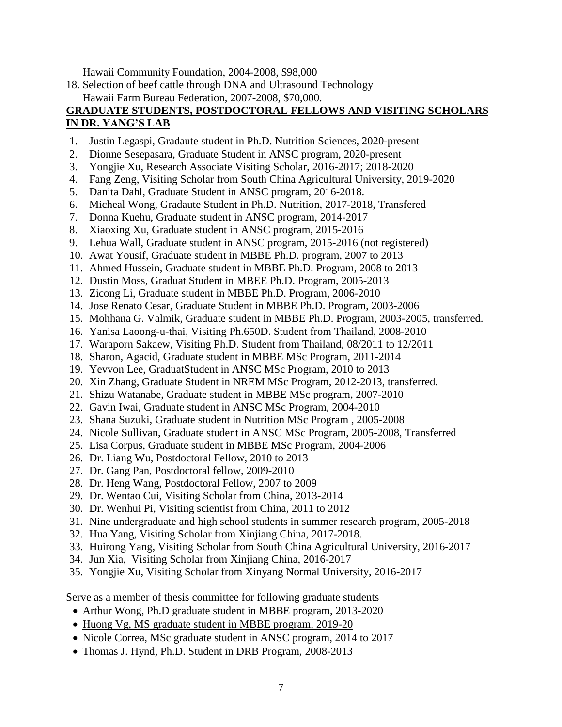Hawaii Community Foundation, 2004-2008, \$98,000

18. Selection of beef cattle through DNA and Ultrasound Technology Hawaii Farm Bureau Federation, 2007-2008, \$70,000.

## **GRADUATE STUDENTS, POSTDOCTORAL FELLOWS AND VISITING SCHOLARS IN DR. YANG'S LAB**

- 1. Justin Legaspi, Gradaute student in Ph.D. Nutrition Sciences, 2020-present
- 2. Dionne Sesepasara, Graduate Student in ANSC program, 2020-present
- 3. Yongjie Xu, Research Associate Visiting Scholar, 2016-2017; 2018-2020
- 4. Fang Zeng, Visiting Scholar from South China Agricultural University, 2019-2020
- 5. Danita Dahl, Graduate Student in ANSC program, 2016-2018.
- 6. Micheal Wong, Gradaute Student in Ph.D. Nutrition, 2017-2018, Transfered
- 7. Donna Kuehu, Graduate student in ANSC program, 2014-2017
- 8. Xiaoxing Xu, Graduate student in ANSC program, 2015-2016
- 9. Lehua Wall, Graduate student in ANSC program, 2015-2016 (not registered)
- 10. Awat Yousif, Graduate student in MBBE Ph.D. program, 2007 to 2013
- 11. Ahmed Hussein, Graduate student in MBBE Ph.D. Program, 2008 to 2013
- 12. Dustin Moss, Graduat Student in MBEE Ph.D. Program, 2005-2013
- 13. Zicong Li, Graduate student in MBBE Ph.D. Program, 2006-2010
- 14. Jose Renato Cesar, Graduate Student in MBBE Ph.D. Program, 2003-2006
- 15. Mohhana G. Valmik, Graduate student in MBBE Ph.D. Program, 2003-2005, transferred.
- 16. Yanisa Laoong-u-thai, Visiting Ph.650D. Student from Thailand, 2008-2010
- 17. Waraporn Sakaew, Visiting Ph.D. Student from Thailand, 08/2011 to 12/2011
- 18. Sharon, Agacid, Graduate student in MBBE MSc Program, 2011-2014
- 19. Yevvon Lee, GraduatStudent in ANSC MSc Program, 2010 to 2013
- 20. Xin Zhang, Graduate Student in NREM MSc Program, 2012-2013, transferred.
- 21. Shizu Watanabe, Graduate student in MBBE MSc program, 2007-2010
- 22. Gavin Iwai, Graduate student in ANSC MSc Program, 2004-2010
- 23. Shana Suzuki, Graduate student in Nutrition MSc Program , 2005-2008
- 24. Nicole Sullivan, Graduate student in ANSC MSc Program, 2005-2008, Transferred
- 25. Lisa Corpus, Graduate student in MBBE MSc Program, 2004-2006
- 26. Dr. Liang Wu, Postdoctoral Fellow, 2010 to 2013
- 27. Dr. Gang Pan, Postdoctoral fellow, 2009-2010
- 28. Dr. Heng Wang, Postdoctoral Fellow, 2007 to 2009
- 29. Dr. Wentao Cui, Visiting Scholar from China, 2013-2014
- 30. Dr. Wenhui Pi, Visiting scientist from China, 2011 to 2012
- 31. Nine undergraduate and high school students in summer research program, 2005-2018
- 32. Hua Yang, Visiting Scholar from Xinjiang China, 2017-2018.
- 33. Huirong Yang, Visiting Scholar from South China Agricultural University, 2016-2017
- 34. Jun Xia, Visiting Scholar from Xinjiang China, 2016-2017
- 35. Yongjie Xu, Visiting Scholar from Xinyang Normal University, 2016-2017

Serve as a member of thesis committee for following graduate students

- Arthur Wong, Ph.D graduate student in MBBE program, 2013-2020
- Huong Vg, MS graduate student in MBBE program, 2019-20
- Nicole Correa, MSc graduate student in ANSC program, 2014 to 2017
- Thomas J. Hynd, Ph.D. Student in DRB Program, 2008-2013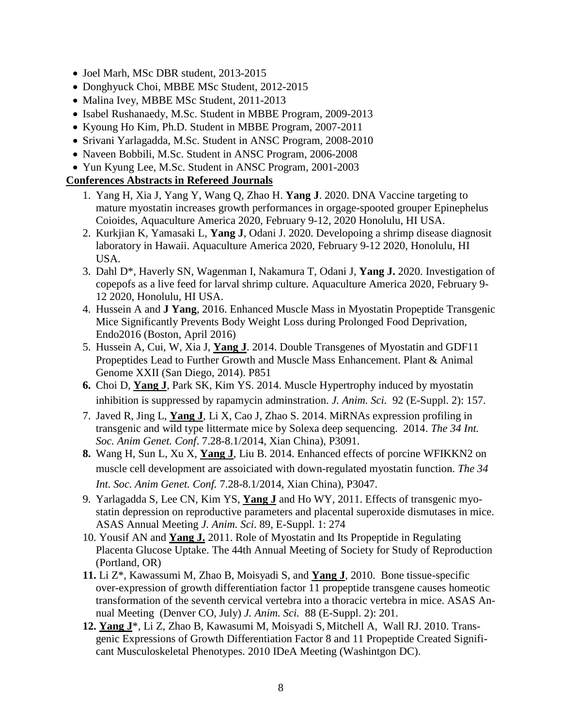- Joel Marh, MSc DBR student, 2013-2015
- Donghyuck Choi, MBBE MSc Student, 2012-2015
- Malina Ivey, MBBE MSc Student, 2011-2013
- Isabel Rushanaedy, M.Sc. Student in MBBE Program, 2009-2013
- Kyoung Ho Kim, Ph.D. Student in MBBE Program, 2007-2011
- Srivani Yarlagadda, M.Sc. Student in ANSC Program, 2008-2010
- Naveen Bobbili, M.Sc. Student in ANSC Program, 2006-2008
- Yun Kyung Lee, M.Sc. Student in ANSC Program, 2001-2003

# **Conferences Abstracts in Refereed Journals**

- 1. Yang H, Xia J, Yang Y, Wang Q, Zhao H. **Yang J**. 2020. DNA Vaccine targeting to mature myostatin increases growth performances in orgage-spooted grouper Epinephelus Coioides, Aquaculture America 2020, February 9-12, 2020 Honolulu, HI USA.
- 2. Kurkjian K, Yamasaki L, **Yang J**, Odani J. 2020. Developoing a shrimp disease diagnosit laboratory in Hawaii. Aquaculture America 2020, February 9-12 2020, Honolulu, HI USA.
- 3. Dahl D\*, Haverly SN, Wagenman I, Nakamura T, Odani J, **Yang J.** 2020. Investigation of copepofs as a live feed for larval shrimp culture. Aquaculture America 2020, February 9- 12 2020, Honolulu, HI USA.
- 4. Hussein A and **J Yang**, 2016. Enhanced Muscle Mass in Myostatin Propeptide Transgenic Mice Significantly Prevents Body Weight Loss during Prolonged Food Deprivation, Endo2016 (Boston, April 2016)
- 5. Hussein A, Cui, W, Xia J, **Yang J**. 2014. Double Transgenes of Myostatin and GDF11 Propeptides Lead to Further Growth and Muscle Mass Enhancement. Plant & Animal Genome XXII (San Diego, 2014). P851
- **6.** Choi D, **Yang J**, Park SK, Kim YS. 2014. Muscle Hypertrophy induced by myostatin inhibition is suppressed by rapamycin adminstration. *J. Anim. Sci.* 92 (E-Suppl. 2): 157.
- 7. Javed R, Jing L, **Yang J**, Li X, Cao J, Zhao S. 2014. MiRNAs expression profiling in transgenic and wild type littermate mice by Solexa deep sequencing. 2014. *The 34 Int. Soc. Anim Genet. Conf*. 7.28-8.1/2014, Xian China), P3091.
- **8.** Wang H, Sun L, Xu X, **Yang J**, Liu B. 2014. Enhanced effects of porcine WFIKKN2 on muscle cell development are assoiciated with down-regulated myostatin function. *The 34 Int. Soc. Anim Genet. Conf.* 7.28-8.1/2014, Xian China), P3047.
- 9. Yarlagadda S, Lee CN, Kim YS, **Yang J** and Ho WY, 2011. Effects of transgenic myostatin depression on reproductive parameters and placental superoxide dismutases in mice. ASAS Annual Meeting *J. Anim. Sci*. 89, E-Suppl. 1: 274
- 10. Yousif AN and **Yang J.** 2011. Role of Myostatin and Its Propeptide in Regulating Placenta Glucose Uptake. The 44th Annual Meeting of Society for Study of Reproduction (Portland, OR)
- **11.** Li Z\*, Kawassumi M, Zhao B, Moisyadi S, and **Yang J**, 2010. Bone tissue-specific over-expression of growth differentiation factor 11 propeptide transgene causes homeotic transformation of the seventh cervical vertebra into a thoracic vertebra in mice. ASAS Annual Meeting (Denver CO, July) *J. Anim. Sci.* 88 (E-Suppl. 2): 201.
- **12. Yang J**\*, Li Z, Zhao B, Kawasumi M, Moisyadi S, Mitchell A, Wall RJ. 2010. Transgenic Expressions of Growth Differentiation Factor 8 and 11 Propeptide Created Significant Musculoskeletal Phenotypes. 2010 IDeA Meeting (Washintgon DC).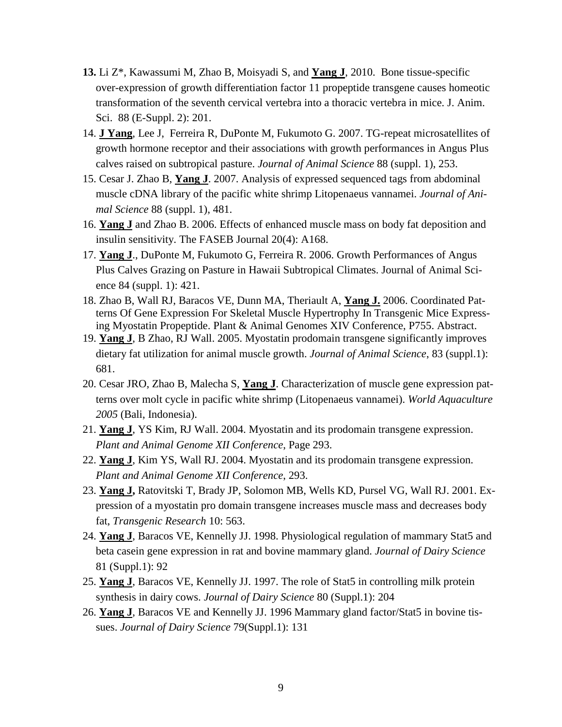- **13.** Li Z\*, Kawassumi M, Zhao B, Moisyadi S, and **Yang J**, 2010. Bone tissue-specific over-expression of growth differentiation factor 11 propeptide transgene causes homeotic transformation of the seventh cervical vertebra into a thoracic vertebra in mice. J. Anim. Sci. 88 (E-Suppl. 2): 201.
- 14. **J Yang**, Lee J, Ferreira R, DuPonte M, Fukumoto G. 2007. TG-repeat microsatellites of growth hormone receptor and their associations with growth performances in Angus Plus calves raised on subtropical pasture. *Journal of Animal Science* 88 (suppl. 1), 253.
- 15. Cesar J. Zhao B, **Yang J**. 2007. Analysis of expressed sequenced tags from abdominal muscle cDNA library of the pacific white shrimp Litopenaeus vannamei. *Journal of Animal Science* 88 (suppl. 1), 481.
- 16. **Yang J** and Zhao B. 2006. Effects of enhanced muscle mass on body fat deposition and insulin sensitivity. The FASEB Journal 20(4): A168.
- 17. **Yang J**., DuPonte M, Fukumoto G, Ferreira R. 2006. Growth Performances of Angus Plus Calves Grazing on Pasture in Hawaii Subtropical Climates. Journal of Animal Science 84 (suppl. 1): 421.
- 18. Zhao B, Wall RJ, Baracos VE, Dunn MA, Theriault A, **Yang J.** 2006. Coordinated Patterns Of Gene Expression For Skeletal Muscle Hypertrophy In Transgenic Mice Expressing Myostatin Propeptide. Plant & Animal Genomes XIV Conference, P755. Abstract.
- 19. **Yang J**, B Zhao, RJ Wall. 2005. Myostatin prodomain transgene significantly improves dietary fat utilization for animal muscle growth. *Journal of Animal Science*, 83 (suppl.1): 681.
- 20. Cesar JRO, Zhao B, Malecha S, **Yang J**. Characterization of muscle gene expression patterns over molt cycle in pacific white shrimp (Litopenaeus vannamei). *World Aquaculture 2005* (Bali, Indonesia).
- 21. **Yang J**, YS Kim, RJ Wall. 2004. Myostatin and its prodomain transgene expression. *Plant and Animal Genome XII Conference*, Page 293.
- 22. **Yang J**, Kim YS, Wall RJ. 2004. Myostatin and its prodomain transgene expression. *Plant and Animal Genome XII Conference*, 293.
- 23. **Yang J,** Ratovitski T, Brady JP, Solomon MB, Wells KD, Pursel VG, Wall RJ. 2001. Expression of a myostatin pro domain transgene increases muscle mass and decreases body fat, *Transgenic Research* 10: 563.
- 24. **Yang J**, Baracos VE, Kennelly JJ. 1998. Physiological regulation of mammary Stat5 and beta casein gene expression in rat and bovine mammary gland. *Journal of Dairy Science* 81 (Suppl.1): 92
- 25. **Yang J**, Baracos VE, Kennelly JJ. 1997. The role of Stat5 in controlling milk protein synthesis in dairy cows. *Journal of Dairy Science* 80 (Suppl.1): 204
- 26. **Yang J**, Baracos VE and Kennelly JJ. 1996 Mammary gland factor/Stat5 in bovine tissues. *Journal of Dairy Science* 79(Suppl.1): 131